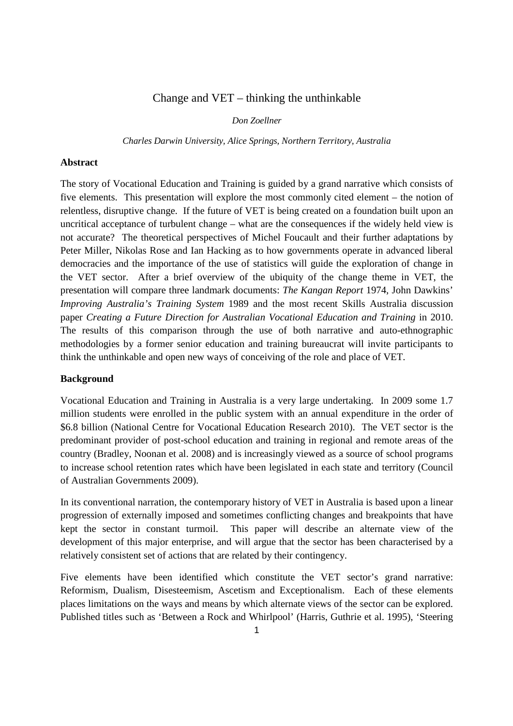# Change and VET – thinking the unthinkable

*Don Zoellner* 

*Charles Darwin University, Alice Springs, Northern Territory, Australia* 

### **Abstract**

The story of Vocational Education and Training is guided by a grand narrative which consists of five elements. This presentation will explore the most commonly cited element – the notion of relentless, disruptive change. If the future of VET is being created on a foundation built upon an uncritical acceptance of turbulent change – what are the consequences if the widely held view is not accurate? The theoretical perspectives of Michel Foucault and their further adaptations by Peter Miller, Nikolas Rose and Ian Hacking as to how governments operate in advanced liberal democracies and the importance of the use of statistics will guide the exploration of change in the VET sector. After a brief overview of the ubiquity of the change theme in VET, the presentation will compare three landmark documents: *The Kangan Report* 1974, John Dawkins' *Improving Australia's Training System* 1989 and the most recent Skills Australia discussion paper *Creating a Future Direction for Australian Vocational Education and Training* in 2010. The results of this comparison through the use of both narrative and auto-ethnographic methodologies by a former senior education and training bureaucrat will invite participants to think the unthinkable and open new ways of conceiving of the role and place of VET.

### **Background**

Vocational Education and Training in Australia is a very large undertaking. In 2009 some 1.7 million students were enrolled in the public system with an annual expenditure in the order of \$6.8 billion (National Centre for Vocational Education Research 2010). The VET sector is the predominant provider of post-school education and training in regional and remote areas of the country (Bradley, Noonan et al. 2008) and is increasingly viewed as a source of school programs to increase school retention rates which have been legislated in each state and territory (Council of Australian Governments 2009).

In its conventional narration, the contemporary history of VET in Australia is based upon a linear progression of externally imposed and sometimes conflicting changes and breakpoints that have kept the sector in constant turmoil. This paper will describe an alternate view of the development of this major enterprise, and will argue that the sector has been characterised by a relatively consistent set of actions that are related by their contingency.

Five elements have been identified which constitute the VET sector's grand narrative: Reformism, Dualism, Disesteemism, Ascetism and Exceptionalism. Each of these elements places limitations on the ways and means by which alternate views of the sector can be explored. Published titles such as 'Between a Rock and Whirlpool' (Harris, Guthrie et al. 1995), 'Steering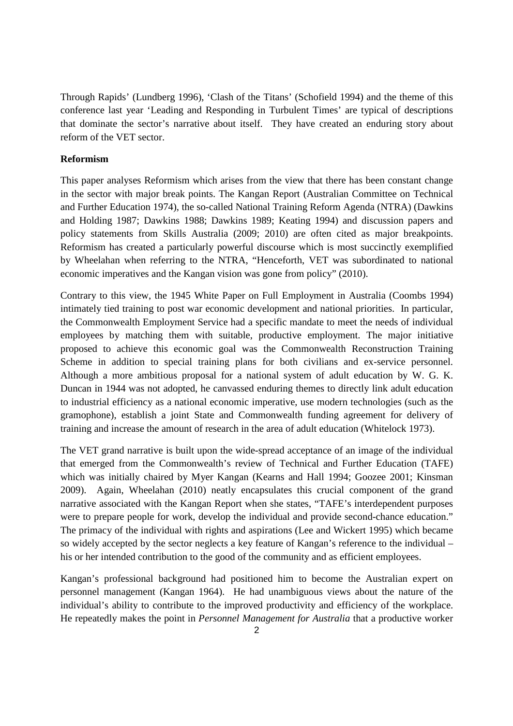Through Rapids' (Lundberg 1996), 'Clash of the Titans' (Schofield 1994) and the theme of this conference last year 'Leading and Responding in Turbulent Times' are typical of descriptions that dominate the sector's narrative about itself. They have created an enduring story about reform of the VET sector.

## **Reformism**

This paper analyses Reformism which arises from the view that there has been constant change in the sector with major break points. The Kangan Report (Australian Committee on Technical and Further Education 1974), the so-called National Training Reform Agenda (NTRA) (Dawkins and Holding 1987; Dawkins 1988; Dawkins 1989; Keating 1994) and discussion papers and policy statements from Skills Australia (2009; 2010) are often cited as major breakpoints. Reformism has created a particularly powerful discourse which is most succinctly exemplified by Wheelahan when referring to the NTRA, "Henceforth, VET was subordinated to national economic imperatives and the Kangan vision was gone from policy" (2010).

Contrary to this view, the 1945 White Paper on Full Employment in Australia (Coombs 1994) intimately tied training to post war economic development and national priorities. In particular, the Commonwealth Employment Service had a specific mandate to meet the needs of individual employees by matching them with suitable, productive employment. The major initiative proposed to achieve this economic goal was the Commonwealth Reconstruction Training Scheme in addition to special training plans for both civilians and ex-service personnel. Although a more ambitious proposal for a national system of adult education by W. G. K. Duncan in 1944 was not adopted, he canvassed enduring themes to directly link adult education to industrial efficiency as a national economic imperative, use modern technologies (such as the gramophone), establish a joint State and Commonwealth funding agreement for delivery of training and increase the amount of research in the area of adult education (Whitelock 1973).

The VET grand narrative is built upon the wide-spread acceptance of an image of the individual that emerged from the Commonwealth's review of Technical and Further Education (TAFE) which was initially chaired by Myer Kangan (Kearns and Hall 1994; Goozee 2001; Kinsman 2009). Again, Wheelahan (2010) neatly encapsulates this crucial component of the grand narrative associated with the Kangan Report when she states, "TAFE's interdependent purposes were to prepare people for work, develop the individual and provide second-chance education." The primacy of the individual with rights and aspirations (Lee and Wickert 1995) which became so widely accepted by the sector neglects a key feature of Kangan's reference to the individual – his or her intended contribution to the good of the community and as efficient employees.

Kangan's professional background had positioned him to become the Australian expert on personnel management (Kangan 1964). He had unambiguous views about the nature of the individual's ability to contribute to the improved productivity and efficiency of the workplace. He repeatedly makes the point in *Personnel Management for Australia* that a productive worker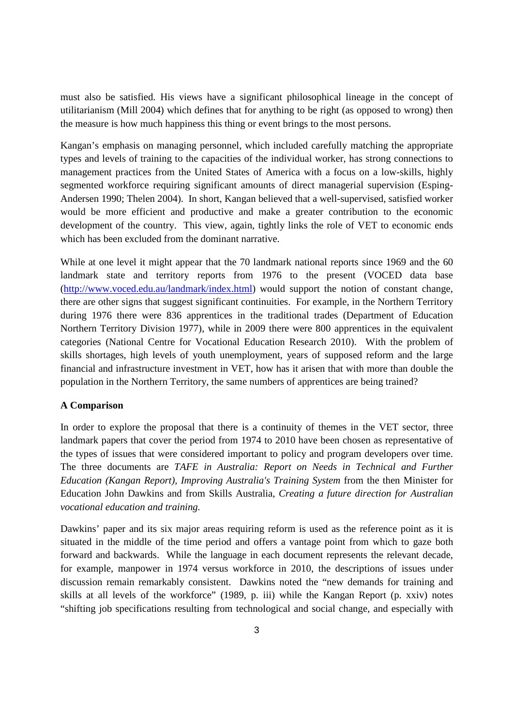must also be satisfied. His views have a significant philosophical lineage in the concept of utilitarianism (Mill 2004) which defines that for anything to be right (as opposed to wrong) then the measure is how much happiness this thing or event brings to the most persons.

Kangan's emphasis on managing personnel, which included carefully matching the appropriate types and levels of training to the capacities of the individual worker, has strong connections to management practices from the United States of America with a focus on a low-skills, highly segmented workforce requiring significant amounts of direct managerial supervision (Esping-Andersen 1990; Thelen 2004). In short, Kangan believed that a well-supervised, satisfied worker would be more efficient and productive and make a greater contribution to the economic development of the country. This view, again, tightly links the role of VET to economic ends which has been excluded from the dominant narrative.

While at one level it might appear that the 70 landmark national reports since 1969 and the 60 landmark state and territory reports from 1976 to the present (VOCED data base (http://www.voced.edu.au/landmark/index.html) would support the notion of constant change, there are other signs that suggest significant continuities. For example, in the Northern Territory during 1976 there were 836 apprentices in the traditional trades (Department of Education Northern Territory Division 1977), while in 2009 there were 800 apprentices in the equivalent categories (National Centre for Vocational Education Research 2010). With the problem of skills shortages, high levels of youth unemployment, years of supposed reform and the large financial and infrastructure investment in VET, how has it arisen that with more than double the population in the Northern Territory, the same numbers of apprentices are being trained?

# **A Comparison**

In order to explore the proposal that there is a continuity of themes in the VET sector, three landmark papers that cover the period from 1974 to 2010 have been chosen as representative of the types of issues that were considered important to policy and program developers over time. The three documents are *TAFE in Australia: Report on Needs in Technical and Further Education (Kangan Report), Improving Australia's Training System* from the then Minister for Education John Dawkins and from Skills Australia, *Creating a future direction for Australian vocational education and training.*

Dawkins' paper and its six major areas requiring reform is used as the reference point as it is situated in the middle of the time period and offers a vantage point from which to gaze both forward and backwards. While the language in each document represents the relevant decade, for example, manpower in 1974 versus workforce in 2010, the descriptions of issues under discussion remain remarkably consistent. Dawkins noted the "new demands for training and skills at all levels of the workforce" (1989, p. iii) while the Kangan Report (p. xxiv) notes "shifting job specifications resulting from technological and social change, and especially with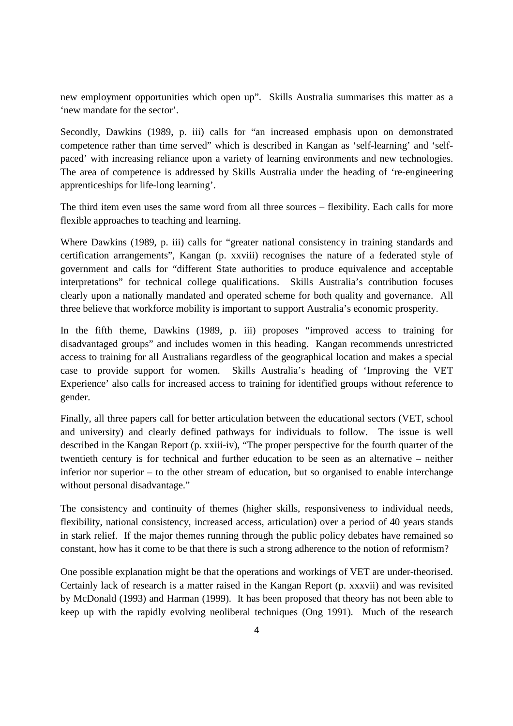new employment opportunities which open up". Skills Australia summarises this matter as a 'new mandate for the sector'.

Secondly, Dawkins (1989, p. iii) calls for "an increased emphasis upon on demonstrated competence rather than time served" which is described in Kangan as 'self-learning' and 'selfpaced' with increasing reliance upon a variety of learning environments and new technologies. The area of competence is addressed by Skills Australia under the heading of 're-engineering apprenticeships for life-long learning'.

The third item even uses the same word from all three sources – flexibility. Each calls for more flexible approaches to teaching and learning.

Where Dawkins (1989, p. iii) calls for "greater national consistency in training standards and certification arrangements", Kangan (p. xxviii) recognises the nature of a federated style of government and calls for "different State authorities to produce equivalence and acceptable interpretations" for technical college qualifications. Skills Australia's contribution focuses clearly upon a nationally mandated and operated scheme for both quality and governance. All three believe that workforce mobility is important to support Australia's economic prosperity.

In the fifth theme, Dawkins (1989, p. iii) proposes "improved access to training for disadvantaged groups" and includes women in this heading. Kangan recommends unrestricted access to training for all Australians regardless of the geographical location and makes a special case to provide support for women. Skills Australia's heading of 'Improving the VET Experience' also calls for increased access to training for identified groups without reference to gender.

Finally, all three papers call for better articulation between the educational sectors (VET, school and university) and clearly defined pathways for individuals to follow. The issue is well described in the Kangan Report (p. xxiii-iv), "The proper perspective for the fourth quarter of the twentieth century is for technical and further education to be seen as an alternative – neither inferior nor superior – to the other stream of education, but so organised to enable interchange without personal disadvantage."

The consistency and continuity of themes (higher skills, responsiveness to individual needs, flexibility, national consistency, increased access, articulation) over a period of 40 years stands in stark relief. If the major themes running through the public policy debates have remained so constant, how has it come to be that there is such a strong adherence to the notion of reformism?

One possible explanation might be that the operations and workings of VET are under-theorised. Certainly lack of research is a matter raised in the Kangan Report (p. xxxvii) and was revisited by McDonald (1993) and Harman (1999). It has been proposed that theory has not been able to keep up with the rapidly evolving neoliberal techniques (Ong 1991). Much of the research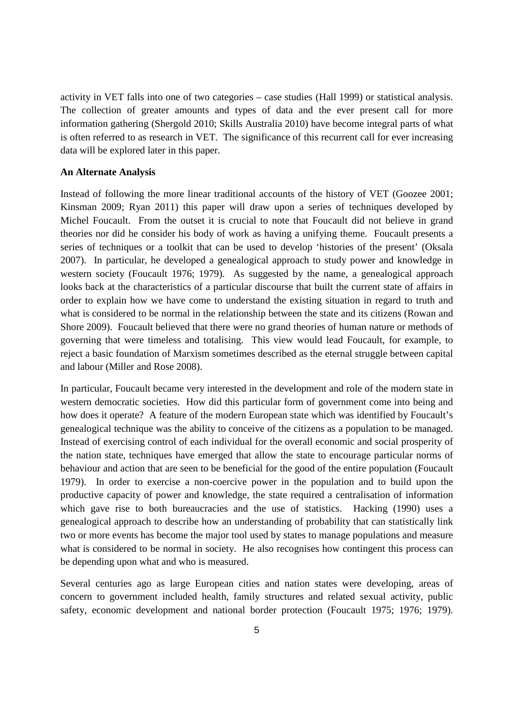activity in VET falls into one of two categories – case studies (Hall 1999) or statistical analysis. The collection of greater amounts and types of data and the ever present call for more information gathering (Shergold 2010; Skills Australia 2010) have become integral parts of what is often referred to as research in VET. The significance of this recurrent call for ever increasing data will be explored later in this paper.

#### **An Alternate Analysis**

Instead of following the more linear traditional accounts of the history of VET (Goozee 2001; Kinsman 2009; Ryan 2011) this paper will draw upon a series of techniques developed by Michel Foucault. From the outset it is crucial to note that Foucault did not believe in grand theories nor did he consider his body of work as having a unifying theme. Foucault presents a series of techniques or a toolkit that can be used to develop 'histories of the present' (Oksala 2007). In particular, he developed a genealogical approach to study power and knowledge in western society (Foucault 1976; 1979). As suggested by the name, a genealogical approach looks back at the characteristics of a particular discourse that built the current state of affairs in order to explain how we have come to understand the existing situation in regard to truth and what is considered to be normal in the relationship between the state and its citizens (Rowan and Shore 2009). Foucault believed that there were no grand theories of human nature or methods of governing that were timeless and totalising. This view would lead Foucault, for example, to reject a basic foundation of Marxism sometimes described as the eternal struggle between capital and labour (Miller and Rose 2008).

In particular, Foucault became very interested in the development and role of the modern state in western democratic societies. How did this particular form of government come into being and how does it operate? A feature of the modern European state which was identified by Foucault's genealogical technique was the ability to conceive of the citizens as a population to be managed. Instead of exercising control of each individual for the overall economic and social prosperity of the nation state, techniques have emerged that allow the state to encourage particular norms of behaviour and action that are seen to be beneficial for the good of the entire population (Foucault 1979). In order to exercise a non-coercive power in the population and to build upon the productive capacity of power and knowledge, the state required a centralisation of information which gave rise to both bureaucracies and the use of statistics. Hacking (1990) uses a genealogical approach to describe how an understanding of probability that can statistically link two or more events has become the major tool used by states to manage populations and measure what is considered to be normal in society. He also recognises how contingent this process can be depending upon what and who is measured.

Several centuries ago as large European cities and nation states were developing, areas of concern to government included health, family structures and related sexual activity, public safety, economic development and national border protection (Foucault 1975; 1976; 1979).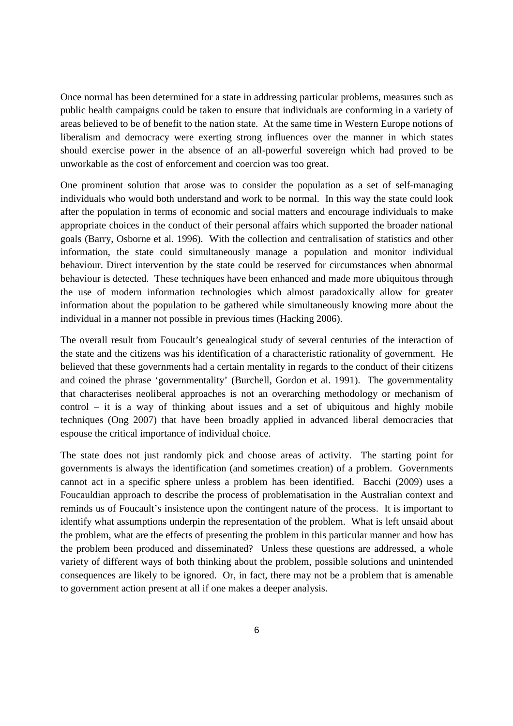Once normal has been determined for a state in addressing particular problems, measures such as public health campaigns could be taken to ensure that individuals are conforming in a variety of areas believed to be of benefit to the nation state. At the same time in Western Europe notions of liberalism and democracy were exerting strong influences over the manner in which states should exercise power in the absence of an all-powerful sovereign which had proved to be unworkable as the cost of enforcement and coercion was too great.

One prominent solution that arose was to consider the population as a set of self-managing individuals who would both understand and work to be normal. In this way the state could look after the population in terms of economic and social matters and encourage individuals to make appropriate choices in the conduct of their personal affairs which supported the broader national goals (Barry, Osborne et al. 1996). With the collection and centralisation of statistics and other information, the state could simultaneously manage a population and monitor individual behaviour. Direct intervention by the state could be reserved for circumstances when abnormal behaviour is detected. These techniques have been enhanced and made more ubiquitous through the use of modern information technologies which almost paradoxically allow for greater information about the population to be gathered while simultaneously knowing more about the individual in a manner not possible in previous times (Hacking 2006).

The overall result from Foucault's genealogical study of several centuries of the interaction of the state and the citizens was his identification of a characteristic rationality of government. He believed that these governments had a certain mentality in regards to the conduct of their citizens and coined the phrase 'governmentality' (Burchell, Gordon et al. 1991). The governmentality that characterises neoliberal approaches is not an overarching methodology or mechanism of control – it is a way of thinking about issues and a set of ubiquitous and highly mobile techniques (Ong 2007) that have been broadly applied in advanced liberal democracies that espouse the critical importance of individual choice.

The state does not just randomly pick and choose areas of activity. The starting point for governments is always the identification (and sometimes creation) of a problem. Governments cannot act in a specific sphere unless a problem has been identified. Bacchi (2009) uses a Foucauldian approach to describe the process of problematisation in the Australian context and reminds us of Foucault's insistence upon the contingent nature of the process. It is important to identify what assumptions underpin the representation of the problem. What is left unsaid about the problem, what are the effects of presenting the problem in this particular manner and how has the problem been produced and disseminated? Unless these questions are addressed, a whole variety of different ways of both thinking about the problem, possible solutions and unintended consequences are likely to be ignored. Or, in fact, there may not be a problem that is amenable to government action present at all if one makes a deeper analysis.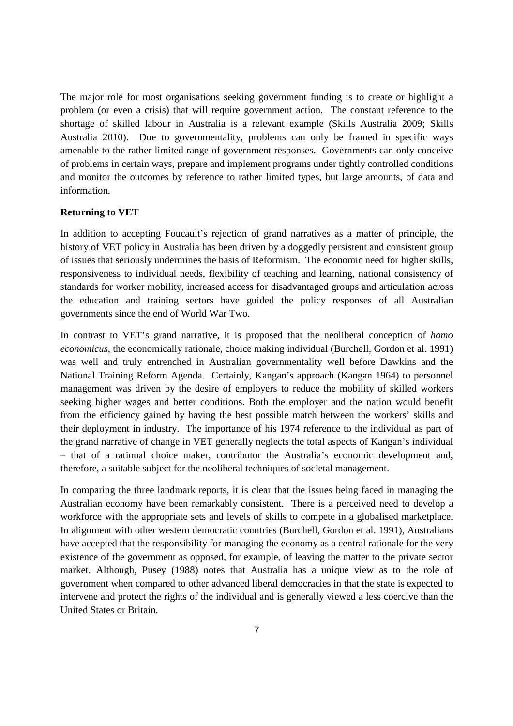The major role for most organisations seeking government funding is to create or highlight a problem (or even a crisis) that will require government action. The constant reference to the shortage of skilled labour in Australia is a relevant example (Skills Australia 2009; Skills Australia 2010). Due to governmentality, problems can only be framed in specific ways amenable to the rather limited range of government responses. Governments can only conceive of problems in certain ways, prepare and implement programs under tightly controlled conditions and monitor the outcomes by reference to rather limited types, but large amounts, of data and information.

### **Returning to VET**

In addition to accepting Foucault's rejection of grand narratives as a matter of principle, the history of VET policy in Australia has been driven by a doggedly persistent and consistent group of issues that seriously undermines the basis of Reformism. The economic need for higher skills, responsiveness to individual needs, flexibility of teaching and learning, national consistency of standards for worker mobility, increased access for disadvantaged groups and articulation across the education and training sectors have guided the policy responses of all Australian governments since the end of World War Two.

In contrast to VET's grand narrative, it is proposed that the neoliberal conception of *homo economicus*, the economically rationale, choice making individual (Burchell, Gordon et al. 1991) was well and truly entrenched in Australian governmentality well before Dawkins and the National Training Reform Agenda. Certainly, Kangan's approach (Kangan 1964) to personnel management was driven by the desire of employers to reduce the mobility of skilled workers seeking higher wages and better conditions. Both the employer and the nation would benefit from the efficiency gained by having the best possible match between the workers' skills and their deployment in industry. The importance of his 1974 reference to the individual as part of the grand narrative of change in VET generally neglects the total aspects of Kangan's individual – that of a rational choice maker, contributor the Australia's economic development and, therefore, a suitable subject for the neoliberal techniques of societal management.

In comparing the three landmark reports, it is clear that the issues being faced in managing the Australian economy have been remarkably consistent. There is a perceived need to develop a workforce with the appropriate sets and levels of skills to compete in a globalised marketplace. In alignment with other western democratic countries (Burchell, Gordon et al. 1991), Australians have accepted that the responsibility for managing the economy as a central rationale for the very existence of the government as opposed, for example, of leaving the matter to the private sector market. Although, Pusey (1988) notes that Australia has a unique view as to the role of government when compared to other advanced liberal democracies in that the state is expected to intervene and protect the rights of the individual and is generally viewed a less coercive than the United States or Britain.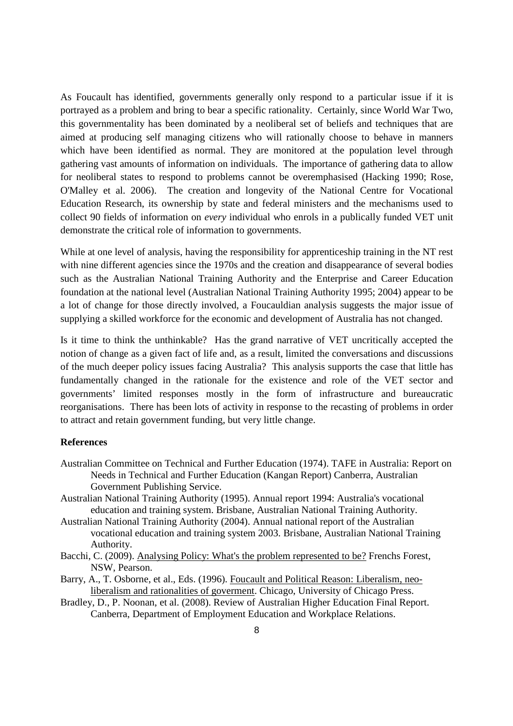As Foucault has identified, governments generally only respond to a particular issue if it is portrayed as a problem and bring to bear a specific rationality. Certainly, since World War Two, this governmentality has been dominated by a neoliberal set of beliefs and techniques that are aimed at producing self managing citizens who will rationally choose to behave in manners which have been identified as normal. They are monitored at the population level through gathering vast amounts of information on individuals. The importance of gathering data to allow for neoliberal states to respond to problems cannot be overemphasised (Hacking 1990; Rose, O'Malley et al. 2006). The creation and longevity of the National Centre for Vocational Education Research, its ownership by state and federal ministers and the mechanisms used to collect 90 fields of information on *every* individual who enrols in a publically funded VET unit demonstrate the critical role of information to governments.

While at one level of analysis, having the responsibility for apprenticeship training in the NT rest with nine different agencies since the 1970s and the creation and disappearance of several bodies such as the Australian National Training Authority and the Enterprise and Career Education foundation at the national level (Australian National Training Authority 1995; 2004) appear to be a lot of change for those directly involved, a Foucauldian analysis suggests the major issue of supplying a skilled workforce for the economic and development of Australia has not changed.

Is it time to think the unthinkable? Has the grand narrative of VET uncritically accepted the notion of change as a given fact of life and, as a result, limited the conversations and discussions of the much deeper policy issues facing Australia? This analysis supports the case that little has fundamentally changed in the rationale for the existence and role of the VET sector and governments' limited responses mostly in the form of infrastructure and bureaucratic reorganisations. There has been lots of activity in response to the recasting of problems in order to attract and retain government funding, but very little change.

#### **References**

- Australian Committee on Technical and Further Education (1974). TAFE in Australia: Report on Needs in Technical and Further Education (Kangan Report) Canberra, Australian Government Publishing Service.
- Australian National Training Authority (1995). Annual report 1994: Australia's vocational education and training system. Brisbane, Australian National Training Authority.
- Australian National Training Authority (2004). Annual national report of the Australian vocational education and training system 2003. Brisbane, Australian National Training Authority.
- Bacchi, C. (2009). Analysing Policy: What's the problem represented to be? Frenchs Forest, NSW, Pearson.
- Barry, A., T. Osborne, et al., Eds. (1996). Foucault and Political Reason: Liberalism, neoliberalism and rationalities of goverment. Chicago, University of Chicago Press.
- Bradley, D., P. Noonan, et al. (2008). Review of Australian Higher Education Final Report. Canberra, Department of Employment Education and Workplace Relations.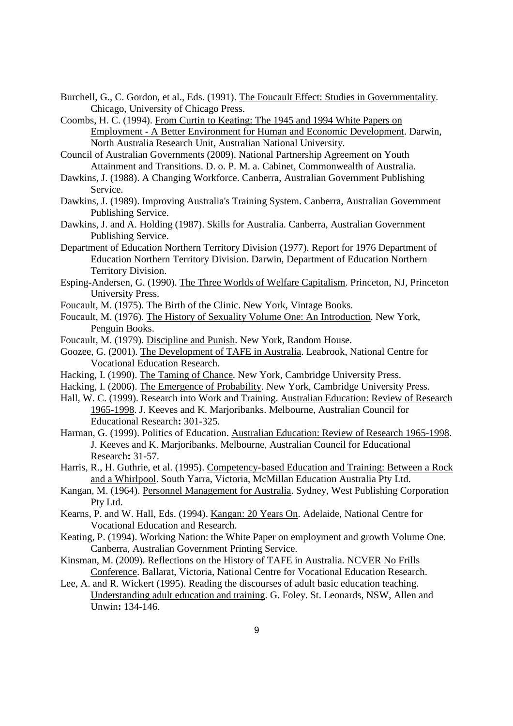- Burchell, G., C. Gordon, et al., Eds. (1991). The Foucault Effect: Studies in Governmentality. Chicago, University of Chicago Press.
- Coombs, H. C. (1994). From Curtin to Keating: The 1945 and 1994 White Papers on Employment - A Better Environment for Human and Economic Development. Darwin, North Australia Research Unit, Australian National University.
- Council of Australian Governments (2009). National Partnership Agreement on Youth Attainment and Transitions. D. o. P. M. a. Cabinet, Commonwealth of Australia.
- Dawkins, J. (1988). A Changing Workforce. Canberra, Australian Government Publishing Service.
- Dawkins, J. (1989). Improving Australia's Training System. Canberra, Australian Government Publishing Service.
- Dawkins, J. and A. Holding (1987). Skills for Australia. Canberra, Australian Government Publishing Service.
- Department of Education Northern Territory Division (1977). Report for 1976 Department of Education Northern Territory Division. Darwin, Department of Education Northern Territory Division.
- Esping-Andersen, G. (1990). The Three Worlds of Welfare Capitalism. Princeton, NJ, Princeton University Press.
- Foucault, M. (1975). The Birth of the Clinic. New York, Vintage Books.
- Foucault, M. (1976). The History of Sexuality Volume One: An Introduction. New York, Penguin Books.
- Foucault, M. (1979). Discipline and Punish. New York, Random House.
- Goozee, G. (2001). The Development of TAFE in Australia. Leabrook, National Centre for Vocational Education Research.
- Hacking, I. (1990). The Taming of Chance. New York, Cambridge University Press.
- Hacking, I. (2006). The Emergence of Probability. New York, Cambridge University Press.
- Hall, W. C. (1999). Research into Work and Training. Australian Education: Review of Research 1965-1998. J. Keeves and K. Marjoribanks. Melbourne, Australian Council for Educational Research**:** 301-325.
- Harman, G. (1999). Politics of Education. Australian Education: Review of Research 1965-1998. J. Keeves and K. Marjoribanks. Melbourne, Australian Council for Educational Research**:** 31-57.
- Harris, R., H. Guthrie, et al. (1995). Competency-based Education and Training: Between a Rock and a Whirlpool. South Yarra, Victoria, McMillan Education Australia Pty Ltd.
- Kangan, M. (1964). Personnel Management for Australia. Sydney, West Publishing Corporation Pty Ltd.
- Kearns, P. and W. Hall, Eds. (1994). Kangan: 20 Years On. Adelaide, National Centre for Vocational Education and Research.
- Keating, P. (1994). Working Nation: the White Paper on employment and growth Volume One. Canberra, Australian Government Printing Service.
- Kinsman, M. (2009). Reflections on the History of TAFE in Australia. NCVER No Frills Conference. Ballarat, Victoria, National Centre for Vocational Education Research.
- Lee, A. and R. Wickert (1995). Reading the discourses of adult basic education teaching. Understanding adult education and training. G. Foley. St. Leonards, NSW, Allen and Unwin**:** 134-146.